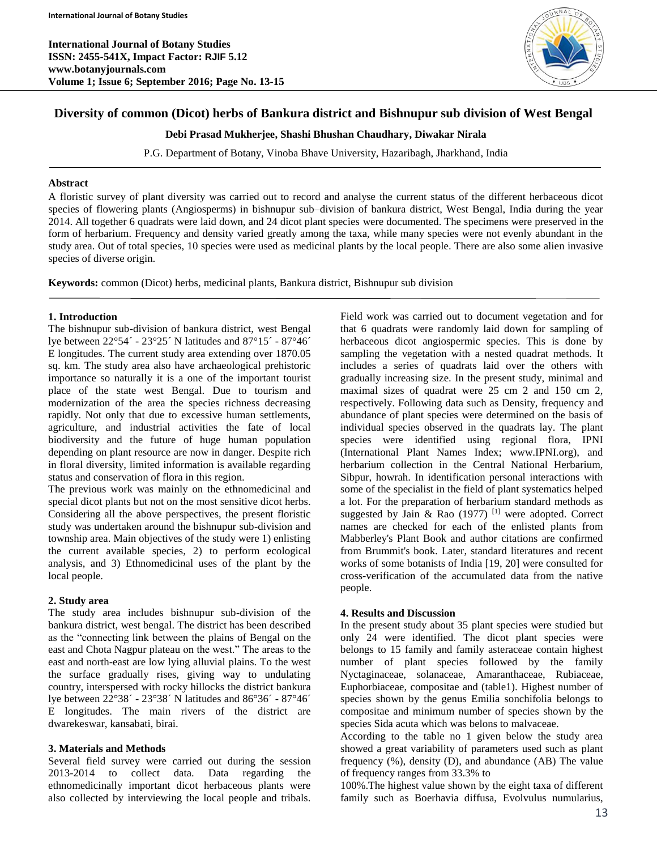**International Journal of Botany Studies ISSN: 2455-541X, Impact Factor: RJIF 5.12 www.botanyjournals.com Volume 1; Issue 6; September 2016; Page No. 13-15**



# **Diversity of common (Dicot) herbs of Bankura district and Bishnupur sub division of West Bengal**

**Debi Prasad Mukherjee, Shashi Bhushan Chaudhary, Diwakar Nirala**

P.G. Department of Botany, Vinoba Bhave University, Hazaribagh, Jharkhand, India

#### **Abstract**

A floristic survey of plant diversity was carried out to record and analyse the current status of the different herbaceous dicot species of flowering plants (Angiosperms) in bishnupur sub–division of bankura district, West Bengal, India during the year 2014. All together 6 quadrats were laid down, and 24 dicot plant species were documented. The specimens were preserved in the form of herbarium. Frequency and density varied greatly among the taxa, while many species were not evenly abundant in the study area. Out of total species, 10 species were used as medicinal plants by the local people. There are also some alien invasive species of diverse origin.

**Keywords:** common (Dicot) herbs, medicinal plants, Bankura district, Bishnupur sub division

#### **1. Introduction**

The bishnupur sub-division of bankura district, west Bengal lye between 22°54´ - 23°25´ N latitudes and 87°15´ - 87°46´ E longitudes. The current study area extending over 1870.05 sq. km. The study area also have archaeological prehistoric importance so naturally it is a one of the important tourist place of the state west Bengal. Due to tourism and modernization of the area the species richness decreasing rapidly. Not only that due to excessive human settlements, agriculture, and industrial activities the fate of local biodiversity and the future of huge human population depending on plant resource are now in danger. Despite rich in floral diversity, limited information is available regarding status and conservation of flora in this region.

The previous work was mainly on the ethnomedicinal and special dicot plants but not on the most sensitive dicot herbs. Considering all the above perspectives, the present floristic study was undertaken around the bishnupur sub-division and township area. Main objectives of the study were 1) enlisting the current available species, 2) to perform ecological analysis, and 3) Ethnomedicinal uses of the plant by the local people.

## **2. Study area**

The study area includes bishnupur sub-division of the bankura district, west bengal. The district has been described as the "connecting link between the plains of Bengal on the east and Chota Nagpur plateau on the west." The areas to the east and north-east are low lying alluvial plains. To the west the surface gradually rises, giving way to undulating country, interspersed with rocky hillocks the district bankura lye between 22°38´ - 23°38´ N latitudes and 86°36´ - 87°46´ E longitudes. The main rivers of the district are dwarekeswar, kansabati, birai.

## **3. Materials and Methods**

Several field survey were carried out during the session 2013-2014 to collect data. Data regarding the ethnomedicinally important dicot herbaceous plants were also collected by interviewing the local people and tribals.

Field work was carried out to document vegetation and for that 6 quadrats were randomly laid down for sampling of herbaceous dicot angiospermic species. This is done by sampling the vegetation with a nested quadrat methods. It includes a series of quadrats laid over the others with gradually increasing size. In the present study, minimal and maximal sizes of quadrat were 25 cm 2 and 150 cm 2, respectively. Following data such as Density, frequency and abundance of plant species were determined on the basis of individual species observed in the quadrats lay. The plant species were identified using regional flora, IPNI (International Plant Names Index; www.IPNI.org), and herbarium collection in the Central National Herbarium, Sibpur, howrah. In identification personal interactions with some of the specialist in the field of plant systematics helped a lot. For the preparation of herbarium standard methods as suggested by Jain & Rao  $(1977)$ <sup>[1]</sup> were adopted. Correct names are checked for each of the enlisted plants from Mabberley's Plant Book and author citations are confirmed from Brummit's book. Later, standard literatures and recent works of some botanists of India [19, 20] were consulted for cross-verification of the accumulated data from the native people.

## **4. Results and Discussion**

In the present study about 35 plant species were studied but only 24 were identified. The dicot plant species were belongs to 15 family and family asteraceae contain highest number of plant species followed by the family Nyctaginaceae, solanaceae, Amaranthaceae, Rubiaceae, Euphorbiaceae, compositae and (table1). Highest number of species shown by the genus Emilia sonchifolia belongs to compositae and minimum number of species shown by the species Sida acuta which was belons to malvaceae.

According to the table no 1 given below the study area showed a great variability of parameters used such as plant frequency (%), density (D), and abundance (AB) The value of frequency ranges from 33.3% to

100%.The highest value shown by the eight taxa of different family such as Boerhavia diffusa, Evolvulus numularius,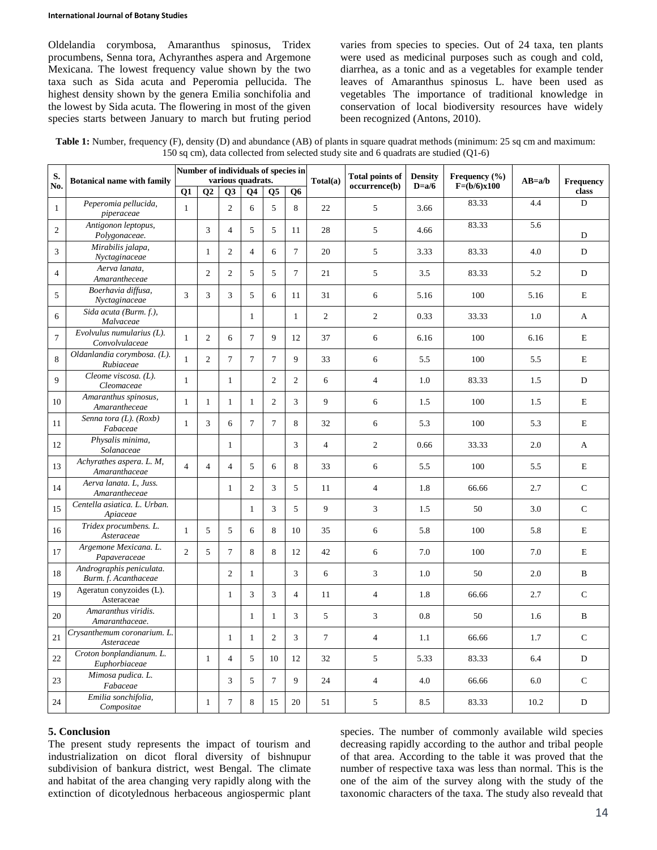#### **International Journal of Botany Studies**

Oldelandia corymbosa, Amaranthus spinosus, Tridex procumbens, Senna tora, Achyranthes aspera and Argemone Mexicana. The lowest frequency value shown by the two taxa such as Sida acuta and Peperomia pellucida. The highest density shown by the genera Emilia sonchifolia and the lowest by Sida acuta. The flowering in most of the given species starts between January to march but fruting period varies from species to species. Out of 24 taxa, ten plants were used as medicinal purposes such as cough and cold, diarrhea, as a tonic and as a vegetables for example tender leaves of Amaranthus spinosus L. have been used as vegetables The importance of traditional knowledge in conservation of local biodiversity resources have widely been recognized (Antons, 2010).

| Table 1: Number, frequency (F), density (D) and abundance (AB) of plants in square quadrat methods (minimum: 25 sq cm and maximum: |
|------------------------------------------------------------------------------------------------------------------------------------|
| 150 sq cm), data collected from selected study site and 6 quadrats are studied $(Q1-6)$                                            |

| S.<br>No.      | <b>Botanical name with family</b>                | Number of individuals of species in<br>various quadrats. |                |                |                |                |                |                | <b>Total points of</b> | <b>Density</b> | Frequency $(\% )$ |          |                    |
|----------------|--------------------------------------------------|----------------------------------------------------------|----------------|----------------|----------------|----------------|----------------|----------------|------------------------|----------------|-------------------|----------|--------------------|
|                |                                                  | Q1                                                       | Q <sub>2</sub> | Q3             | <b>O4</b>      | Q <sub>5</sub> | Q6             | Total(a)       | occurrence(b)          | $D=a/6$        | $F=(b/6)x100$     | $AB=a/b$ | Frequency<br>class |
| $\mathbf{1}$   | Peperomia pellucida,<br>piperaceae               | $\mathbf{1}$                                             |                | $\overline{2}$ | 6              | 5              | 8              | 22             | 5                      | 3.66           | 83.33             | 4.4      | D                  |
| $\overline{c}$ | Antigonon leptopus,<br>Polygonaceae.             |                                                          | 3              | $\overline{4}$ | 5              | 5              | 11             | 28             | 5                      | 4.66           | 83.33             | 5.6      | D                  |
| 3              | Mirabilis jalapa,<br>Nyctaginaceae               |                                                          | $\mathbf{1}$   | $\overline{2}$ | $\overline{4}$ | 6              | $\tau$         | 20             | 5                      | 3.33           | 83.33             | 4.0      | $\mathbf D$        |
| $\overline{4}$ | Aerva lanata,<br>Amarantheceae                   |                                                          | $\overline{c}$ | $\mathfrak{2}$ | 5              | 5              | $\tau$         | 21             | 5                      | 3.5            | 83.33             | 5.2      | D                  |
| 5              | Boerhavia diffusa,<br>Nyctaginaceae              | 3                                                        | 3              | 3              | 5              | 6              | 11             | 31             | 6                      | 5.16           | 100               | 5.16     | $\mathbf E$        |
| 6              | Sida acuta (Burm. f.),<br>Malvaceae              |                                                          |                |                | 1              |                | 1              | $\overline{2}$ | $\overline{c}$         | 0.33           | 33.33             | 1.0      | A                  |
| $\overline{7}$ | $Evolvulus$ numularius $(L)$ .<br>Convolvulaceae | $\mathbf{1}$                                             | $\overline{2}$ | 6              | $\overline{7}$ | 9              | 12             | 37             | 6                      | 6.16           | 100               | 6.16     | $\mathbf E$        |
| 8              | Oldanlandia corymbosa. (L).<br>Rubiaceae         | $\mathbf{1}$                                             | 2              | $\tau$         | $\tau$         | $\overline{7}$ | 9              | 33             | 6                      | 5.5            | 100               | 5.5      | E                  |
| $\mathbf{Q}$   | Cleome viscosa. (L).<br>Cleomaceae               | $\mathbf{1}$                                             |                | $\mathbf{1}$   |                | $\overline{c}$ | $\overline{c}$ | 6              | $\overline{4}$         | 1.0            | 83.33             | 1.5      | $\mathbf D$        |
| 10             | Amaranthus spinosus,<br>Amarantheceae            | $\mathbf{1}$                                             | $\mathbf{1}$   | $\mathbf{1}$   | $\mathbf{1}$   | $\overline{2}$ | 3              | 9              | 6                      | 1.5            | 100               | 1.5      | E                  |
| 11             | Senna tora (L). (Roxb)<br>Fabaceae               | $\mathbf{1}$                                             | 3              | 6              | $\overline{7}$ | $\tau$         | 8              | 32             | 6                      | 5.3            | 100               | 5.3      | $\mathbf E$        |
| 12             | Physalis minima,<br>Solanaceae                   |                                                          |                | $\mathbf{1}$   |                |                | 3              | $\overline{4}$ | $\overline{2}$         | 0.66           | 33.33             | $2.0\,$  | A                  |
| 13             | Achyrathes aspera. L. M,<br>Amaranthaceae        | $\overline{4}$                                           | $\overline{4}$ | $\overline{4}$ | 5              | 6              | 8              | 33             | 6                      | 5.5            | 100               | 5.5      | $\mathbf E$        |
| 14             | Aerva lanata. L. Juss.<br>Amarantheceae          |                                                          |                | $\mathbf{1}$   | $\overline{2}$ | 3              | 5              | 11             | $\overline{4}$         | 1.8            | 66.66             | 2.7      | $\mathsf{C}$       |
| 15             | Centella asiatica. L. Urban.<br>Apiaceae         |                                                          |                |                | $\mathbf{1}$   | 3              | 5              | 9              | 3                      | 1.5            | 50                | 3.0      | $\mathbf C$        |
| 16             | Tridex procumbens. L.<br>Asteraceae              | 1                                                        | 5              | 5              | 6              | 8              | 10             | 35             | 6                      | 5.8            | 100               | 5.8      | E                  |
| 17             | Argemone Mexicana. L.<br>Papaveraceae            | $\overline{c}$                                           | 5              | $\overline{7}$ | 8              | 8              | 12             | 42             | 6                      | 7.0            | 100               | 7.0      | E                  |
| 18             | Andrographis peniculata.<br>Burm. f. Acanthaceae |                                                          |                | $\overline{2}$ | $\mathbf{1}$   |                | 3              | 6              | 3                      | 1.0            | 50                | 2.0      | $\mathbf B$        |
| 19             | Ageratun conyzoides (L).<br>Asteraceae           |                                                          |                | $\mathbf{1}$   | 3              | 3              | $\overline{4}$ | 11             | $\overline{4}$         | 1.8            | 66.66             | 2.7      | $\mathbf C$        |
| 20             | Amaranthus viridis.<br>Amaranthaceae.            |                                                          |                |                | $\mathbf{1}$   | $\mathbf{1}$   | 3              | 5              | 3                      | 0.8            | 50                | 1.6      | $\bf{B}$           |
| 21             | Crysanthemum coronarium. L.<br>Asteraceae        |                                                          |                | $\mathbf{1}$   | $\mathbf{1}$   | $\overline{2}$ | 3              | $\tau$         | $\overline{4}$         | 1.1            | 66.66             | 1.7      | $\mathbf C$        |
| 22             | Croton bonplandianum. L.<br>Euphorbiaceae        |                                                          | $\mathbf{1}$   | $\overline{4}$ | 5              | 10             | 12             | 32             | 5                      | 5.33           | 83.33             | 6.4      | $\mathbf D$        |
| 23             | Mimosa pudica. L.<br>Fabaceae                    |                                                          |                | 3              | 5              | $\tau$         | 9              | 24             | $\overline{4}$         | 4.0            | 66.66             | 6.0      | $\mathbf C$        |
| 24             | Emilia sonchifolia,<br>Compositae                |                                                          | $\mathbf{1}$   | $\tau$         | 8              | 15             | 20             | 51             | 5                      | 8.5            | 83.33             | 10.2     | $\mathbf D$        |

#### **5. Conclusion**

The present study represents the impact of tourism and industrialization on dicot floral diversity of bishnupur subdivision of bankura district, west Bengal. The climate and habitat of the area changing very rapidly along with the extinction of dicotylednous herbaceous angiospermic plant species. The number of commonly available wild species decreasing rapidly according to the author and tribal people of that area. According to the table it was proved that the number of respective taxa was less than normal. This is the one of the aim of the survey along with the study of the taxonomic characters of the taxa. The study also reveald that